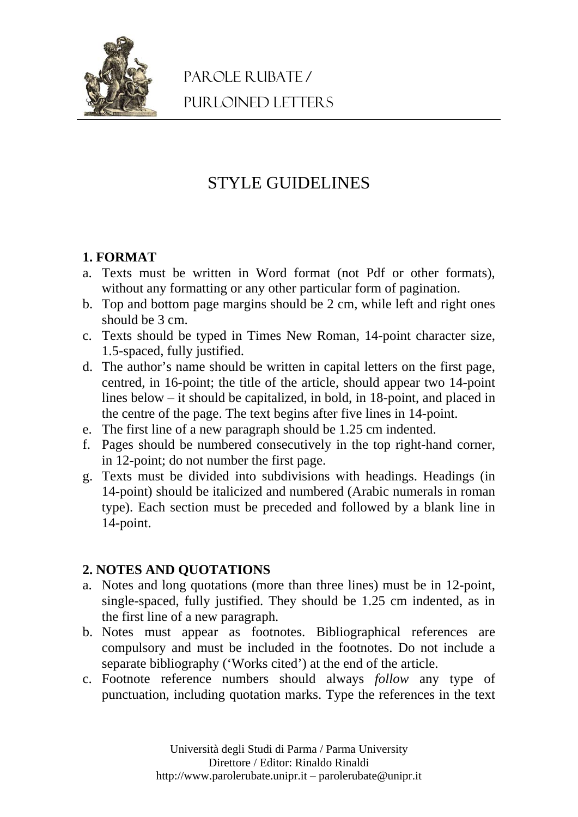

# STYLE GUIDELINES

## **1. FORMAT**

- a. Texts must be written in Word format (not Pdf or other formats), without any formatting or any other particular form of pagination.
- b. Top and bottom page margins should be 2 cm, while left and right ones should be 3 cm.
- c. Texts should be typed in Times New Roman, 14-point character size, 1.5-spaced, fully justified.
- d. The author's name should be written in capital letters on the first page, centred, in 16-point; the title of the article, should appear two 14-point lines below – it should be capitalized, in bold, in 18-point, and placed in the centre of the page. The text begins after five lines in 14-point.
- e. The first line of a new paragraph should be 1.25 cm indented.
- f. Pages should be numbered consecutively in the top right-hand corner, in 12-point; do not number the first page.
- g. Texts must be divided into subdivisions with headings. Headings (in 14-point) should be italicized and numbered (Arabic numerals in roman type). Each section must be preceded and followed by a blank line in 14-point.

## **2. NOTES AND QUOTATIONS**

- a. Notes and long quotations (more than three lines) must be in 12-point, single-spaced, fully justified. They should be 1.25 cm indented, as in the first line of a new paragraph.
- b. Notes must appear as footnotes. Bibliographical references are compulsory and must be included in the footnotes. Do not include a separate bibliography ('Works cited') at the end of the article.
- c. Footnote reference numbers should always *follow* any type of punctuation, including quotation marks. Type the references in the text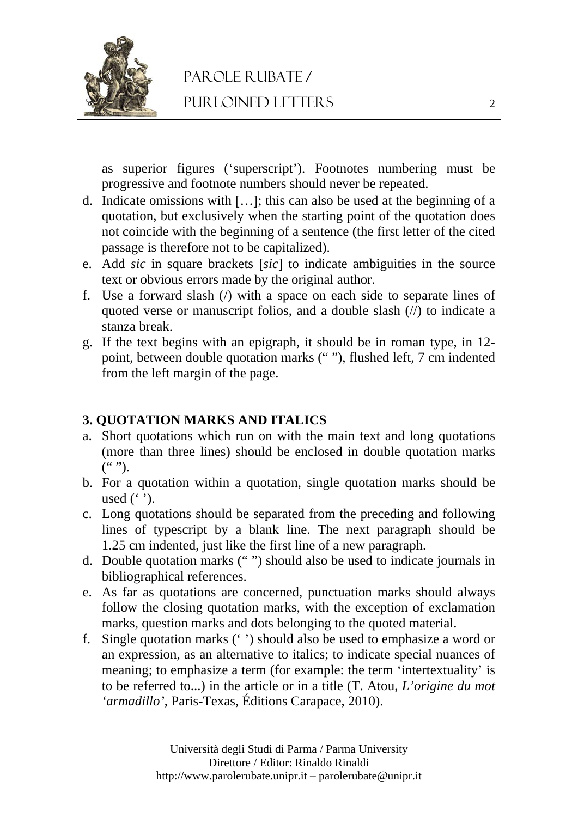

as superior figures ('superscript'). Footnotes numbering must be progressive and footnote numbers should never be repeated.

- d. Indicate omissions with [ $\dots$ ]; this can also be used at the beginning of a quotation, but exclusively when the starting point of the quotation does not coincide with the beginning of a sentence (the first letter of the cited passage is therefore not to be capitalized).
- e. Add *sic* in square brackets [sic] to indicate ambiguities in the source text or obvious errors made by the original author.
- f. Use a forward slash (/) with a space on each side to separate lines of quoted verse or manuscript folios, and a double slash (//) to indicate a stanza break.
- g. If the text begins with an epigraph, it should be in roman type, in 12 point, between double quotation marks (" "), flushed left, 7 cm indented from the left margin of the page.

#### **3. QUOTATION MARKS AND ITALICS**

- a. Short quotations which run on with the main text and long quotations (more than three lines) should be enclosed in double quotation marks  $($ " ").
- b. For a quotation within a quotation, single quotation marks should be used  $($ .' $)$ .
- c. Long quotations should be separated from the preceding and following lines of typescript by a blank line. The next paragraph should be 1.25 cm indented, just like the first line of a new paragraph.
- d. Double quotation marks (" ") should also be used to indicate journals in bibliographical references.
- e. As far as quotations are concerned, punctuation marks should always follow the closing quotation marks, with the exception of exclamation marks, question marks and dots belonging to the quoted material.
- f. Single quotation marks (' ') should also be used to emphasize a word or an expression, as an alternative to italics; to indicate special nuances of meaning; to emphasize a term (for example: the term 'intertextuality' is to be referred to...) in the article or in a title (T. Atou, *L'origine du mot 'armadillo'*, Paris-Texas, Éditions Carapace, 2010).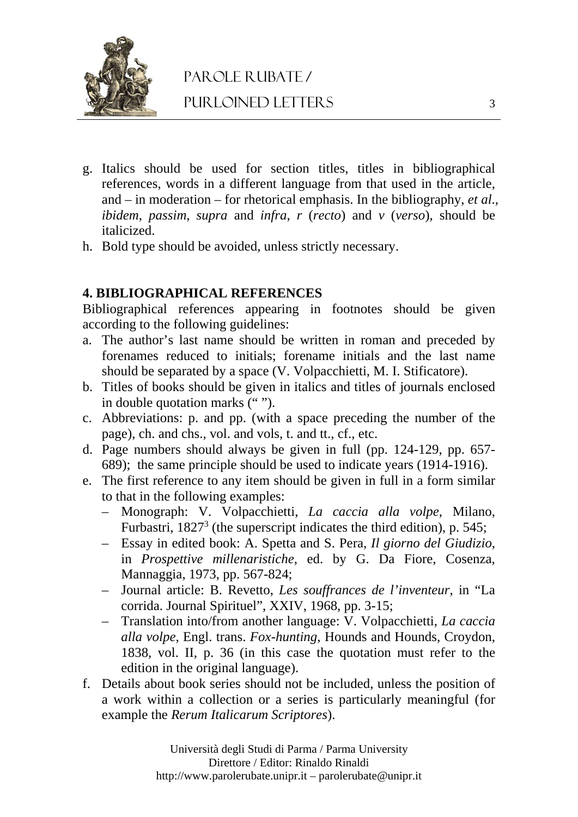

# parole rubate / purloined letters

- g. Italics should be used for section titles, titles in bibliographical references, words in a different language from that used in the article, and – in moderation – for rhetorical emphasis. In the bibliography, *et al*., *ibidem*, *passim*, *supra* and *infra*, *r* (*recto*) and *v* (*verso*), should be italicized.
- h. Bold type should be avoided, unless strictly necessary.

#### **4. BIBLIOGRAPHICAL REFERENCES**

Bibliographical references appearing in footnotes should be given according to the following guidelines:

- a. The author's last name should be written in roman and preceded by forenames reduced to initials; forename initials and the last name should be separated by a space (V. Volpacchietti, M. I. Stificatore).
- b. Titles of books should be given in italics and titles of journals enclosed in double quotation marks (" ").
- c. Abbreviations: p. and pp. (with a space preceding the number of the page), ch. and chs., vol. and vols, t. and tt., cf., etc.
- d. Page numbers should always be given in full (pp. 124-129, pp. 657- 689); the same principle should be used to indicate years (1914-1916).
- e. The first reference to any item should be given in full in a form similar to that in the following examples:
	- Monograph: V. Volpacchietti, *La caccia alla volpe*, Milano, Furbastri,  $1827<sup>3</sup>$  (the superscript indicates the third edition), p. 545;
	- Essay in edited book: A. Spetta and S. Pera, *Il giorno del Giudizio*, in *Prospettive millenaristiche*, ed. by G. Da Fiore, Cosenza, Mannaggia, 1973, pp. 567-824;
	- Journal article: B. Revetto, *Les souffrances de l'inventeur*, in "La corrida. Journal Spirituel", XXIV, 1968, pp. 3-15;
	- Translation into/from another language: V. Volpacchietti, *La caccia alla volpe*, Engl. trans. *Fox-hunting*, Hounds and Hounds, Croydon, 1838, vol. II, p. 36 (in this case the quotation must refer to the edition in the original language).
- f. Details about book series should not be included, unless the position of a work within a collection or a series is particularly meaningful (for example the *Rerum Italicarum Scriptores*).